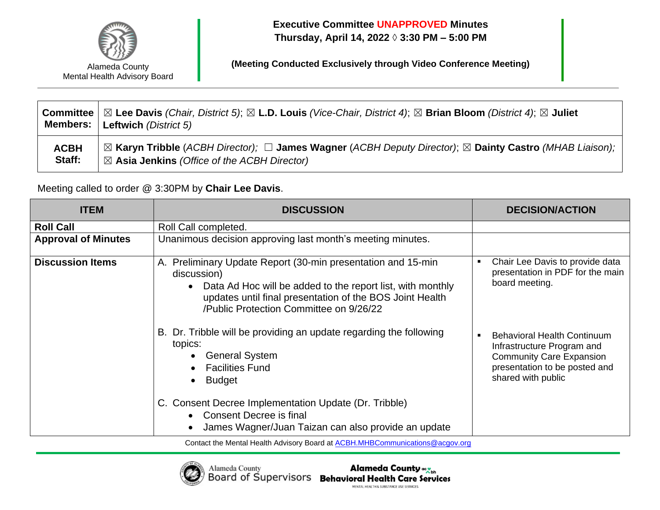

**Executive Committee UNAPPROVED Minutes Thursday, April 14, 2022 ◊ 3:30 PM – 5:00 PM**

**(Meeting Conducted Exclusively through Video Conference Meeting)**

|             | <b>Committee</b>   $\boxtimes$ Lee Davis (Chair, District 5); $\boxtimes$ L.D. Louis (Vice-Chair, District 4); $\boxtimes$ Brian Bloom (District 4); $\boxtimes$ Juliet<br><b>Members:   Leftwich (District 5)</b> |
|-------------|--------------------------------------------------------------------------------------------------------------------------------------------------------------------------------------------------------------------|
| <b>ACBH</b> | ⊠ Karyn Tribble (ACBH Director); □ James Wagner (ACBH Deputy Director); ⊠ Dainty Castro (MHAB Liaison);                                                                                                            |
| Staff:      | $\boxtimes$ Asia Jenkins (Office of the ACBH Director)                                                                                                                                                             |

Meeting called to order @ 3:30PM by **Chair Lee Davis**.

| <b>ITEM</b>                | <b>DISCUSSION</b>                                                                                                                                                                                                                                | <b>DECISION/ACTION</b>                                                                                                                                     |
|----------------------------|--------------------------------------------------------------------------------------------------------------------------------------------------------------------------------------------------------------------------------------------------|------------------------------------------------------------------------------------------------------------------------------------------------------------|
| <b>Roll Call</b>           | Roll Call completed.                                                                                                                                                                                                                             |                                                                                                                                                            |
| <b>Approval of Minutes</b> | Unanimous decision approving last month's meeting minutes.                                                                                                                                                                                       |                                                                                                                                                            |
| <b>Discussion Items</b>    | A. Preliminary Update Report (30-min presentation and 15-min<br>discussion)<br>Data Ad Hoc will be added to the report list, with monthly<br>updates until final presentation of the BOS Joint Health<br>/Public Protection Committee on 9/26/22 | Chair Lee Davis to provide data<br>presentation in PDF for the main<br>board meeting.                                                                      |
|                            | B. Dr. Tribble will be providing an update regarding the following<br>topics:<br><b>General System</b><br><b>Facilities Fund</b><br><b>Budget</b>                                                                                                | <b>Behavioral Health Continuum</b><br>Infrastructure Program and<br><b>Community Care Expansion</b><br>presentation to be posted and<br>shared with public |
|                            | C. Consent Decree Implementation Update (Dr. Tribble)<br>• Consent Decree is final<br>James Wagner/Juan Taizan can also provide an update                                                                                                        |                                                                                                                                                            |

Contact the Mental Health Advisory Board at [ACBH.MHBCommunications@acgov.org](mailto:ACBH.MHBCommunications@acgov.org)